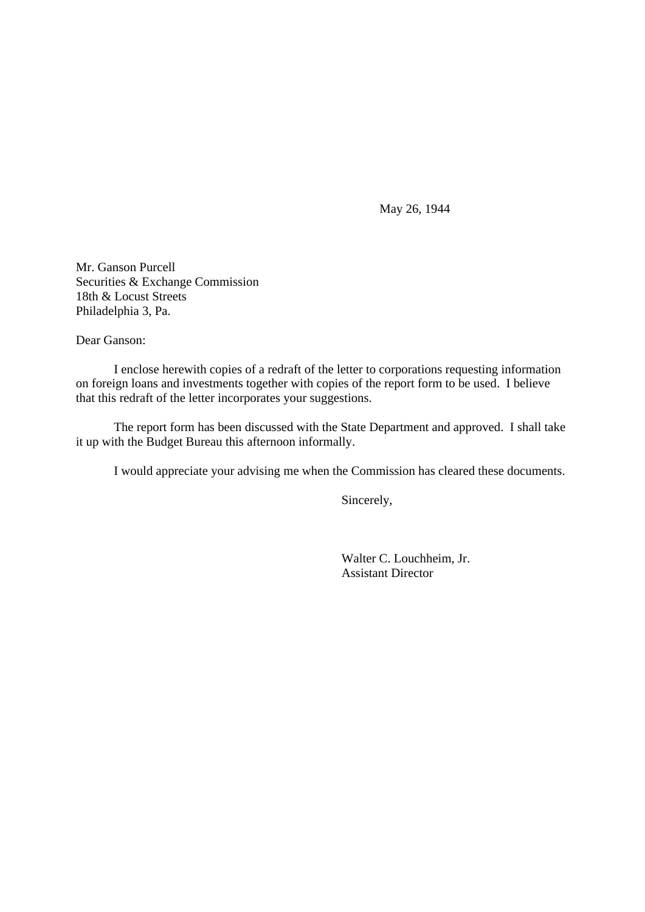May 26, 1944

Mr. Ganson Purcell Securities & Exchange Commission 18th & Locust Streets Philadelphia 3, Pa.

Dear Ganson:

I enclose herewith copies of a redraft of the letter to corporations requesting information on foreign loans and investments together with copies of the report form to be used. I believe that this redraft of the letter incorporates your suggestions.

The report form has been discussed with the State Department and approved. I shall take it up with the Budget Bureau this afternoon informally.

I would appreciate your advising me when the Commission has cleared these documents.

Sincerely,

Walter C. Louchheim, Jr. Assistant Director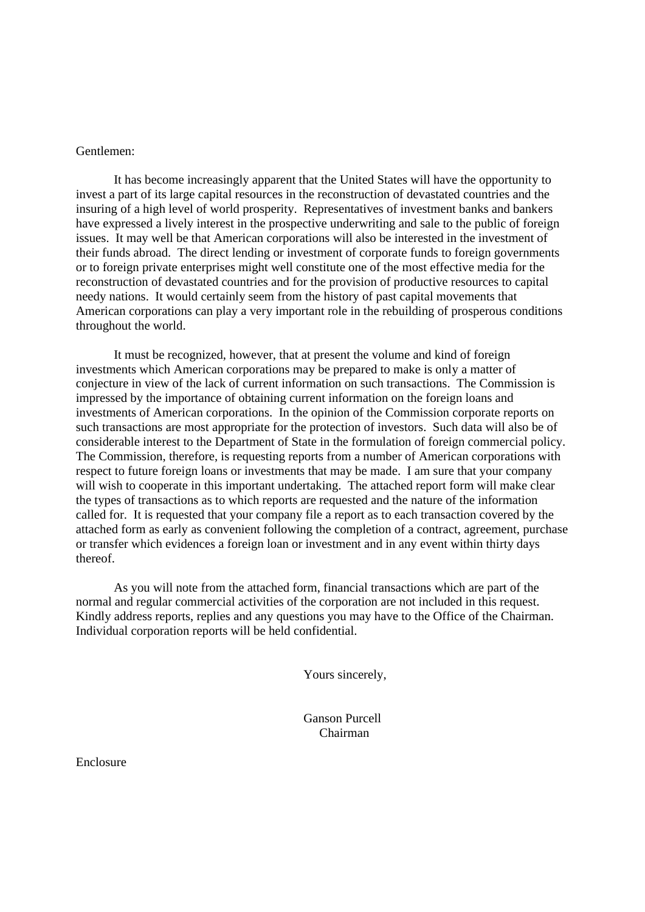## Gentlemen:

It has become increasingly apparent that the United States will have the opportunity to invest a part of its large capital resources in the reconstruction of devastated countries and the insuring of a high level of world prosperity. Representatives of investment banks and bankers have expressed a lively interest in the prospective underwriting and sale to the public of foreign issues. It may well be that American corporations will also be interested in the investment of their funds abroad. The direct lending or investment of corporate funds to foreign governments or to foreign private enterprises might well constitute one of the most effective media for the reconstruction of devastated countries and for the provision of productive resources to capital needy nations. It would certainly seem from the history of past capital movements that American corporations can play a very important role in the rebuilding of prosperous conditions throughout the world.

It must be recognized, however, that at present the volume and kind of foreign investments which American corporations may be prepared to make is only a matter of conjecture in view of the lack of current information on such transactions. The Commission is impressed by the importance of obtaining current information on the foreign loans and investments of American corporations. In the opinion of the Commission corporate reports on such transactions are most appropriate for the protection of investors. Such data will also be of considerable interest to the Department of State in the formulation of foreign commercial policy. The Commission, therefore, is requesting reports from a number of American corporations with respect to future foreign loans or investments that may be made. I am sure that your company will wish to cooperate in this important undertaking. The attached report form will make clear the types of transactions as to which reports are requested and the nature of the information called for. It is requested that your company file a report as to each transaction covered by the attached form as early as convenient following the completion of a contract, agreement, purchase or transfer which evidences a foreign loan or investment and in any event within thirty days thereof.

As you will note from the attached form, financial transactions which are part of the normal and regular commercial activities of the corporation are not included in this request. Kindly address reports, replies and any questions you may have to the Office of the Chairman. Individual corporation reports will be held confidential.

Yours sincerely,

Ganson Purcell Chairman

Enclosure